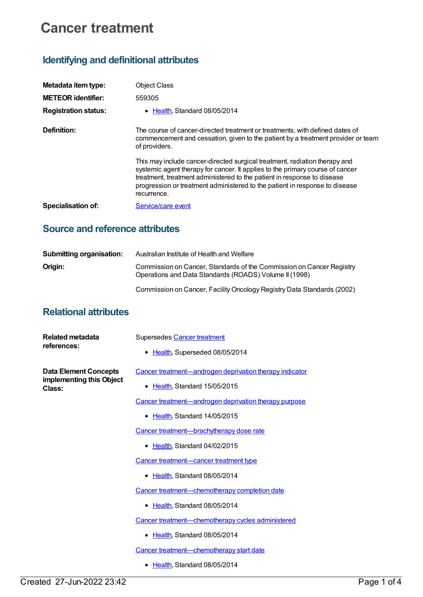# **Cancer treatment**

# **Identifying and definitional attributes**

| Metadata item type:         | <b>Object Class</b>                                                                                                                                                                                                                                                                                                                  |
|-----------------------------|--------------------------------------------------------------------------------------------------------------------------------------------------------------------------------------------------------------------------------------------------------------------------------------------------------------------------------------|
| <b>METEOR identifier:</b>   | 559305                                                                                                                                                                                                                                                                                                                               |
| <b>Registration status:</b> | • Health Standard 08/05/2014                                                                                                                                                                                                                                                                                                         |
| Definition:                 | The course of cancer-directed treatment or treatments, with defined dates of<br>commencement and cessation, given to the patient by a treatment provider or team<br>of providers.                                                                                                                                                    |
|                             | This may include cancer-directed surgical treatment, radiation therapy and<br>systemic agent therapy for cancer. It applies to the primary course of cancer<br>treatment, treatment administered to the patient in response to disease<br>progression or treatment administered to the patient in response to disease<br>recurrence. |
| Specialisation of:          | Service/care event                                                                                                                                                                                                                                                                                                                   |

### **Source and reference attributes**

| <b>Submitting organisation:</b> | Australian Institute of Health and Welfare                                                                                     |
|---------------------------------|--------------------------------------------------------------------------------------------------------------------------------|
| Origin:                         | Commission on Cancer, Standards of the Commission on Cancer Registry<br>Operations and Data Standards (ROADS) Volume II (1998) |
|                                 | Commission on Cancer, Facility Oncology Registry Data Standards (2002)                                                         |

# **Relational attributes**

| Related metadata<br>references:                                    | Supersedes Cancer treatment<br>• Health, Superseded 08/05/2014                           |
|--------------------------------------------------------------------|------------------------------------------------------------------------------------------|
| <b>Data Element Concepts</b><br>implementing this Object<br>Class: | Cancer treatment—androgen deprivation therapy indicator<br>• Health, Standard 15/05/2015 |
|                                                                    | Cancer treatment—androgen deprivation therapy purpose                                    |
|                                                                    | • Health, Standard 14/05/2015                                                            |
|                                                                    | Cancer treatment-brachytherapy dose rate                                                 |
|                                                                    | • Health, Standard 04/02/2015                                                            |
|                                                                    | Cancer treatment—cancer treatment type                                                   |
|                                                                    | • Health Standard 08/05/2014                                                             |
|                                                                    | Cancer treatment-chemotherapy completion date                                            |
|                                                                    | • Health, Standard 08/05/2014                                                            |
|                                                                    | Cancer treatment-chemotherapy cycles administered                                        |
|                                                                    | • Health, Standard 08/05/2014                                                            |
|                                                                    | Cancer treatment-chemotherapy start date                                                 |
|                                                                    | • Health, Standard 08/05/2014                                                            |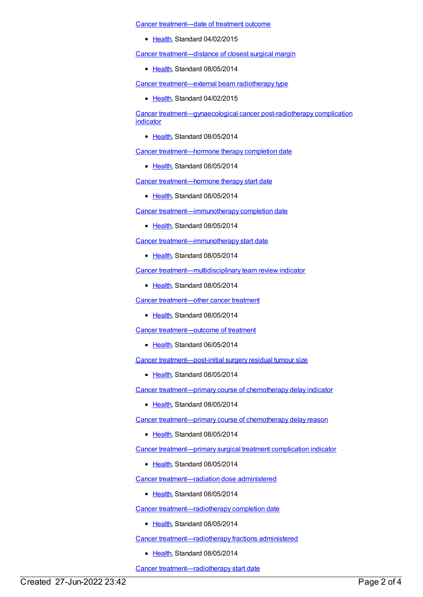Cancer [treatment—date](https://meteor.aihw.gov.au/content/572844) of treatment outcome

• [Health](https://meteor.aihw.gov.au/RegistrationAuthority/12), Standard 04/02/2015

Cancer [treatment—distance](https://meteor.aihw.gov.au/content/430291) of closest surgical margin

• [Health](https://meteor.aihw.gov.au/RegistrationAuthority/12), Standard 08/05/2014

Cancer [treatment—external](https://meteor.aihw.gov.au/content/468069) beam radiotherapy type

• [Health](https://meteor.aihw.gov.au/RegistrationAuthority/12), Standard 04/02/2015

Cancer [treatment—gynaecological](https://meteor.aihw.gov.au/content/546613) cancer post-radiotherapy complication indicator

● [Health](https://meteor.aihw.gov.au/RegistrationAuthority/12), Standard 08/05/2014

Cancer [treatment—hormone](https://meteor.aihw.gov.au/content/561327) therapy completion date

• [Health](https://meteor.aihw.gov.au/RegistrationAuthority/12), Standard 08/05/2014

Cancer [treatment—hormone](https://meteor.aihw.gov.au/content/561332) therapy start date

• [Health](https://meteor.aihw.gov.au/RegistrationAuthority/12), Standard 08/05/2014

Cancer [treatment—immunotherapy](https://meteor.aihw.gov.au/content/561358) completion date

• [Health](https://meteor.aihw.gov.au/RegistrationAuthority/12), Standard 08/05/2014

Cancer [treatment—immunotherapy](https://meteor.aihw.gov.au/content/561363) start date

• [Health](https://meteor.aihw.gov.au/RegistrationAuthority/12), Standard 08/05/2014

Cancer [treatment—multidisciplinary](https://meteor.aihw.gov.au/content/428238) team review indicator

• [Health](https://meteor.aihw.gov.au/RegistrationAuthority/12), Standard 08/05/2014

Cancer [treatment—other](https://meteor.aihw.gov.au/content/561621) cancer treatment

• [Health](https://meteor.aihw.gov.au/RegistrationAuthority/12), Standard 08/05/2014

Cancer [treatment—outcome](https://meteor.aihw.gov.au/content/561663) of treatment

• [Health](https://meteor.aihw.gov.au/RegistrationAuthority/12), Standard 06/05/2014

Cancer [treatment—post-initial](https://meteor.aihw.gov.au/content/425579) surgery residual tumour size

• [Health](https://meteor.aihw.gov.au/RegistrationAuthority/12), Standard 08/05/2014

Cancer [treatment—primary](https://meteor.aihw.gov.au/content/542948) course of chemotherapy delay indicator

• [Health](https://meteor.aihw.gov.au/RegistrationAuthority/12), Standard 08/05/2014

Cancer [treatment—primary](https://meteor.aihw.gov.au/content/450834) course of chemotherapy delay reason

• [Health](https://meteor.aihw.gov.au/RegistrationAuthority/12), Standard 08/05/2014

Cancer [treatment—primary](https://meteor.aihw.gov.au/content/546453) surgical treatment complication indicator

• [Health](https://meteor.aihw.gov.au/RegistrationAuthority/12), Standard 08/05/2014

Cancer [treatment—radiation](https://meteor.aihw.gov.au/content/561382) dose administered

• [Health](https://meteor.aihw.gov.au/RegistrationAuthority/12), Standard 08/05/2014

Cancer [treatment—radiotherapy](https://meteor.aihw.gov.au/content/561387) completion date

• [Health](https://meteor.aihw.gov.au/RegistrationAuthority/12), Standard 08/05/2014

Cancer [treatment—radiotherapy](https://meteor.aihw.gov.au/content/561461) fractions administered

• [Health](https://meteor.aihw.gov.au/RegistrationAuthority/12), Standard 08/05/2014

Cancer [treatment—radiotherapy](https://meteor.aihw.gov.au/content/561467) start date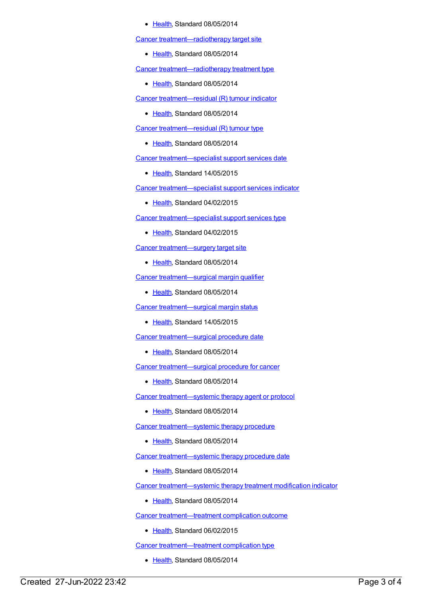#### [Health](https://meteor.aihw.gov.au/RegistrationAuthority/12), Standard 08/05/2014

Cancer [treatment—radiotherapy](https://meteor.aihw.gov.au/content/561474) target site

• [Health](https://meteor.aihw.gov.au/RegistrationAuthority/12), Standard 08/05/2014

Cancer [treatment—radiotherapy](https://meteor.aihw.gov.au/content/561519) treatment type

• [Health](https://meteor.aihw.gov.au/RegistrationAuthority/12), Standard 08/05/2014

Cancer [treatment—residual](https://meteor.aihw.gov.au/content/430253) (R) tumour indicator

• [Health](https://meteor.aihw.gov.au/RegistrationAuthority/12), Standard 08/05/2014

Cancer [treatment—residual](https://meteor.aihw.gov.au/content/521151) (R) tumour type

• [Health](https://meteor.aihw.gov.au/RegistrationAuthority/12), Standard 08/05/2014

Cancer [treatment—specialist](https://meteor.aihw.gov.au/content/587586) support services date

• [Health](https://meteor.aihw.gov.au/RegistrationAuthority/12), Standard 14/05/2015

Cancer [treatment—specialist](https://meteor.aihw.gov.au/content/462093) support services indicator

• [Health](https://meteor.aihw.gov.au/RegistrationAuthority/12), Standard 04/02/2015

Cancer [treatment—specialist](https://meteor.aihw.gov.au/content/566646) support services type

• [Health](https://meteor.aihw.gov.au/RegistrationAuthority/12), Standard 04/02/2015

Cancer [treatment—surgery](https://meteor.aihw.gov.au/content/561561) target site

[Health](https://meteor.aihw.gov.au/RegistrationAuthority/12), Standard 08/05/2014

Cancer [treatment—surgical](https://meteor.aihw.gov.au/content/433050) margin qualifier

[Health](https://meteor.aihw.gov.au/RegistrationAuthority/12), Standard 08/05/2014

Cancer [treatment—surgical](https://meteor.aihw.gov.au/content/587695) margin status

• [Health](https://meteor.aihw.gov.au/RegistrationAuthority/12), Standard 14/05/2015

Cancer [treatment—surgical](https://meteor.aihw.gov.au/content/561570) procedure date

• [Health](https://meteor.aihw.gov.au/RegistrationAuthority/12), Standard 08/05/2014

Cancer [treatment—surgical](https://meteor.aihw.gov.au/content/562122) procedure for cancer

[Health](https://meteor.aihw.gov.au/RegistrationAuthority/12), Standard 08/05/2014

Cancer [treatment—systemic](https://meteor.aihw.gov.au/content/561276) therapy agent or protocol

• [Health](https://meteor.aihw.gov.au/RegistrationAuthority/12), Standard 08/05/2014

Cancer [treatment—systemic](https://meteor.aihw.gov.au/content/561609) therapy procedure

• [Health](https://meteor.aihw.gov.au/RegistrationAuthority/12), Standard 08/05/2014

Cancer [treatment—systemic](https://meteor.aihw.gov.au/content/561604) therapy procedure date

• [Health](https://meteor.aihw.gov.au/RegistrationAuthority/12), Standard 08/05/2014

Cancer [treatment—systemic](https://meteor.aihw.gov.au/content/546762) therapy treatment modification indicator

• [Health](https://meteor.aihw.gov.au/RegistrationAuthority/12), Standard 08/05/2014

Cancer [treatment—treatment](https://meteor.aihw.gov.au/content/581128) complication outcome

Elealth, Standard 06/02/2015

Cancer [treatment—treatment](https://meteor.aihw.gov.au/content/425587) complication type

• [Health](https://meteor.aihw.gov.au/RegistrationAuthority/12), Standard 08/05/2014